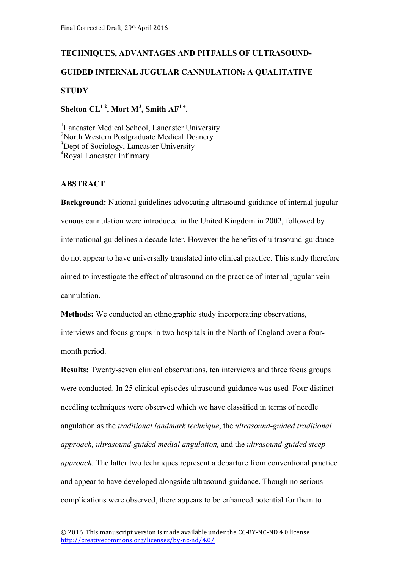# **TECHNIQUES, ADVANTAGES AND PITFALLS OF ULTRASOUND-GUIDED INTERNAL JUGULAR CANNULATION: A QUALITATIVE STUDY**

Shelton  $CL^{12}$ , Mort M<sup>3</sup>, Smith AF<sup>14</sup>.

<sup>1</sup>Lancaster Medical School, Lancaster University <sup>2</sup>North Western Postgraduate Medical Deanery <sup>3</sup>Dept of Sociology, Lancaster University 4 Royal Lancaster Infirmary

## **ABSTRACT**

**Background:** National guidelines advocating ultrasound-guidance of internal jugular venous cannulation were introduced in the United Kingdom in 2002, followed by international guidelines a decade later. However the benefits of ultrasound-guidance do not appear to have universally translated into clinical practice. This study therefore aimed to investigate the effect of ultrasound on the practice of internal jugular vein cannulation.

**Methods:** We conducted an ethnographic study incorporating observations, interviews and focus groups in two hospitals in the North of England over a fourmonth period.

**Results:** Twenty-seven clinical observations, ten interviews and three focus groups were conducted. In 25 clinical episodes ultrasound-guidance was used*.* Four distinct needling techniques were observed which we have classified in terms of needle angulation as the *traditional landmark technique*, the *ultrasound-guided traditional approach, ultrasound-guided medial angulation,* and the *ultrasound-guided steep approach.* The latter two techniques represent a departure from conventional practice and appear to have developed alongside ultrasound-guidance. Though no serious complications were observed, there appears to be enhanced potential for them to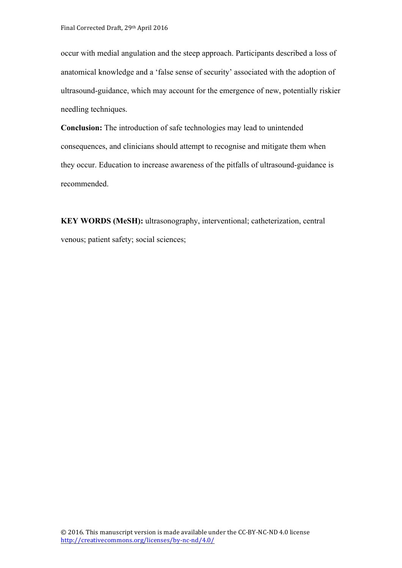occur with medial angulation and the steep approach. Participants described a loss of anatomical knowledge and a 'false sense of security' associated with the adoption of ultrasound-guidance, which may account for the emergence of new, potentially riskier needling techniques.

**Conclusion:** The introduction of safe technologies may lead to unintended consequences, and clinicians should attempt to recognise and mitigate them when they occur. Education to increase awareness of the pitfalls of ultrasound-guidance is recommended.

**KEY WORDS (MeSH):** ultrasonography, interventional; catheterization, central venous; patient safety; social sciences;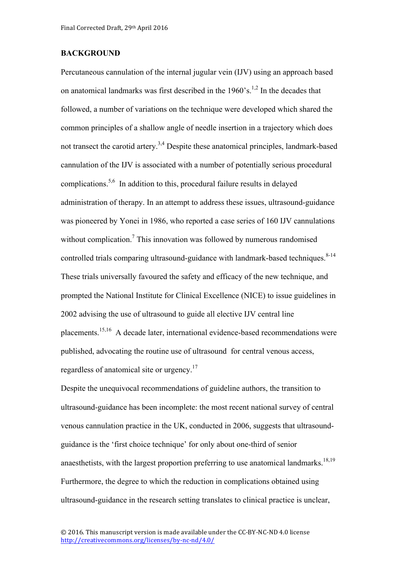#### **BACKGROUND**

Percutaneous cannulation of the internal jugular vein (IJV) using an approach based on anatomical landmarks was first described in the  $1960$ 's.<sup>1,2</sup> In the decades that followed, a number of variations on the technique were developed which shared the common principles of a shallow angle of needle insertion in a trajectory which does not transect the carotid artery.<sup>3,4</sup> Despite these anatomical principles, landmark-based cannulation of the IJV is associated with a number of potentially serious procedural complications. 5,6 In addition to this, procedural failure results in delayed administration of therapy. In an attempt to address these issues, ultrasound-guidance was pioneered by Yonei in 1986, who reported a case series of 160 IJV cannulations without complication.<sup>7</sup> This innovation was followed by numerous randomised controlled trials comparing ultrasound-guidance with landmark-based techniques.<sup>8-14</sup> These trials universally favoured the safety and efficacy of the new technique, and prompted the National Institute for Clinical Excellence (NICE) to issue guidelines in 2002 advising the use of ultrasound to guide all elective IJV central line placements.<sup>15,16</sup> A decade later, international evidence-based recommendations were published, advocating the routine use of ultrasound for central venous access, regardless of anatomical site or urgency.<sup>17</sup>

Despite the unequivocal recommendations of guideline authors, the transition to ultrasound-guidance has been incomplete: the most recent national survey of central venous cannulation practice in the UK, conducted in 2006, suggests that ultrasoundguidance is the 'first choice technique' for only about one-third of senior anaesthetists, with the largest proportion preferring to use anatomical landmarks.<sup>18,19</sup> Furthermore, the degree to which the reduction in complications obtained using ultrasound-guidance in the research setting translates to clinical practice is unclear,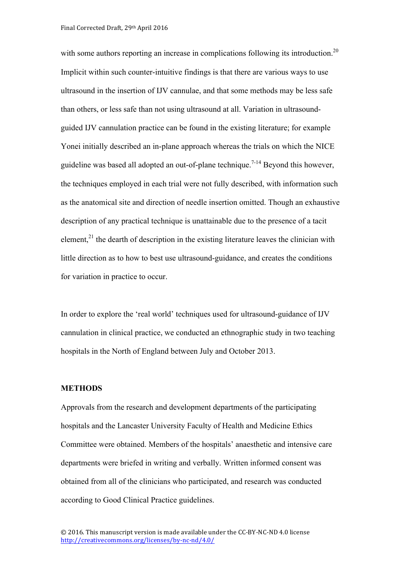with some authors reporting an increase in complications following its introduction.<sup>20</sup> Implicit within such counter-intuitive findings is that there are various ways to use ultrasound in the insertion of IJV cannulae, and that some methods may be less safe than others, or less safe than not using ultrasound at all. Variation in ultrasoundguided IJV cannulation practice can be found in the existing literature; for example Yonei initially described an in-plane approach whereas the trials on which the NICE guideline was based all adopted an out-of-plane technique.<sup> $7-14$ </sup> Beyond this however, the techniques employed in each trial were not fully described, with information such as the anatomical site and direction of needle insertion omitted. Though an exhaustive description of any practical technique is unattainable due to the presence of a tacit element,<sup>21</sup> the dearth of description in the existing literature leaves the clinician with little direction as to how to best use ultrasound-guidance, and creates the conditions for variation in practice to occur.

In order to explore the 'real world' techniques used for ultrasound-guidance of IJV cannulation in clinical practice, we conducted an ethnographic study in two teaching hospitals in the North of England between July and October 2013.

#### **METHODS**

Approvals from the research and development departments of the participating hospitals and the Lancaster University Faculty of Health and Medicine Ethics Committee were obtained. Members of the hospitals' anaesthetic and intensive care departments were briefed in writing and verbally. Written informed consent was obtained from all of the clinicians who participated, and research was conducted according to Good Clinical Practice guidelines.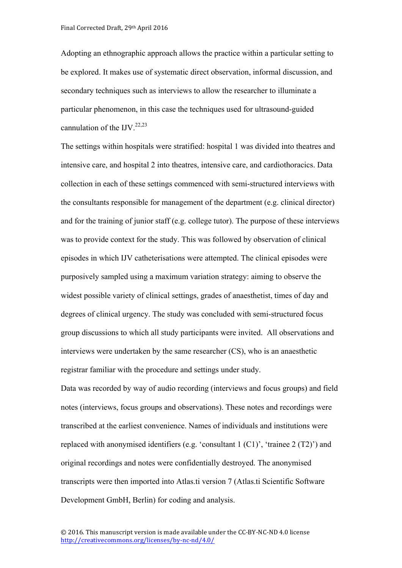Adopting an ethnographic approach allows the practice within a particular setting to be explored. It makes use of systematic direct observation, informal discussion, and secondary techniques such as interviews to allow the researcher to illuminate a particular phenomenon, in this case the techniques used for ultrasound-guided cannulation of the IJV. $^{22,23}$ 

The settings within hospitals were stratified: hospital 1 was divided into theatres and intensive care, and hospital 2 into theatres, intensive care, and cardiothoracics. Data collection in each of these settings commenced with semi-structured interviews with the consultants responsible for management of the department (e.g. clinical director) and for the training of junior staff (e.g. college tutor). The purpose of these interviews was to provide context for the study. This was followed by observation of clinical episodes in which IJV catheterisations were attempted. The clinical episodes were purposively sampled using a maximum variation strategy: aiming to observe the widest possible variety of clinical settings, grades of anaesthetist, times of day and degrees of clinical urgency. The study was concluded with semi-structured focus group discussions to which all study participants were invited. All observations and interviews were undertaken by the same researcher (CS), who is an anaesthetic registrar familiar with the procedure and settings under study.

Data was recorded by way of audio recording (interviews and focus groups) and field notes (interviews, focus groups and observations). These notes and recordings were transcribed at the earliest convenience. Names of individuals and institutions were replaced with anonymised identifiers (e.g. 'consultant  $1 (C1)$ ', 'trainee  $2 (T2)$ ') and original recordings and notes were confidentially destroyed. The anonymised transcripts were then imported into Atlas.ti version 7 (Atlas.ti Scientific Software Development GmbH, Berlin) for coding and analysis.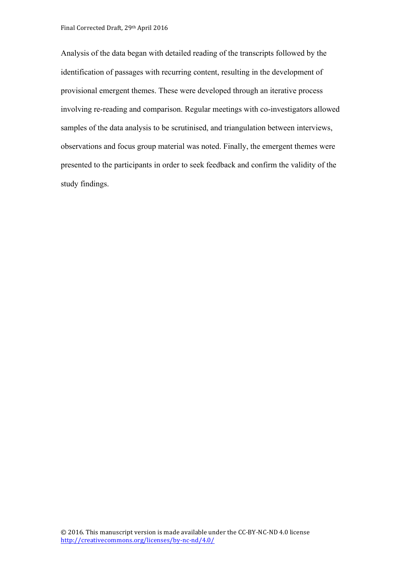Analysis of the data began with detailed reading of the transcripts followed by the identification of passages with recurring content, resulting in the development of provisional emergent themes. These were developed through an iterative process involving re-reading and comparison. Regular meetings with co-investigators allowed samples of the data analysis to be scrutinised, and triangulation between interviews, observations and focus group material was noted. Finally, the emergent themes were presented to the participants in order to seek feedback and confirm the validity of the study findings.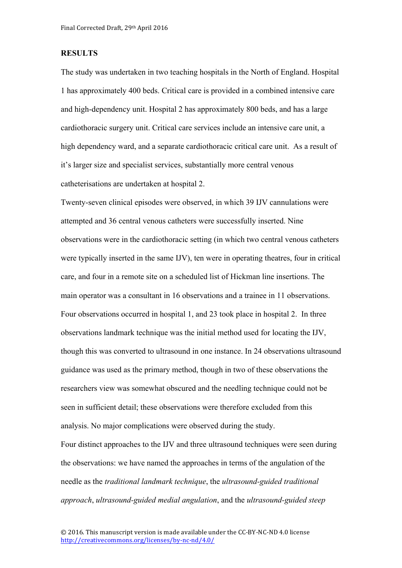#### **RESULTS**

The study was undertaken in two teaching hospitals in the North of England. Hospital 1 has approximately 400 beds. Critical care is provided in a combined intensive care and high-dependency unit. Hospital 2 has approximately 800 beds, and has a large cardiothoracic surgery unit. Critical care services include an intensive care unit, a high dependency ward, and a separate cardiothoracic critical care unit. As a result of it's larger size and specialist services, substantially more central venous catheterisations are undertaken at hospital 2.

Twenty-seven clinical episodes were observed, in which 39 IJV cannulations were attempted and 36 central venous catheters were successfully inserted. Nine observations were in the cardiothoracic setting (in which two central venous catheters were typically inserted in the same IJV), ten were in operating theatres, four in critical care, and four in a remote site on a scheduled list of Hickman line insertions. The main operator was a consultant in 16 observations and a trainee in 11 observations. Four observations occurred in hospital 1, and 23 took place in hospital 2. In three observations landmark technique was the initial method used for locating the IJV, though this was converted to ultrasound in one instance. In 24 observations ultrasound guidance was used as the primary method, though in two of these observations the researchers view was somewhat obscured and the needling technique could not be seen in sufficient detail; these observations were therefore excluded from this analysis. No major complications were observed during the study.

Four distinct approaches to the IJV and three ultrasound techniques were seen during the observations: we have named the approaches in terms of the angulation of the needle as the *traditional landmark technique*, the *ultrasound-guided traditional approach*, *ultrasound-guided medial angulation*, and the *ultrasound-guided steep*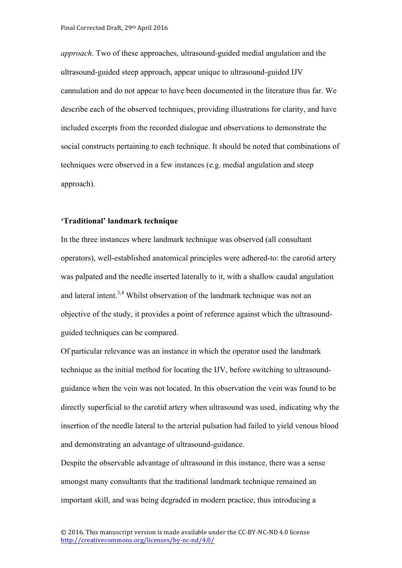*approach*. Two of these approaches, ultrasound-guided medial angulation and the ultrasound-guided steep approach, appear unique to ultrasound-guided IJV cannulation and do not appear to have been documented in the literature thus far. We describe each of the observed techniques, providing illustrations for clarity, and have included excerpts from the recorded dialogue and observations to demonstrate the social constructs pertaining to each technique. It should be noted that combinations of techniques were observed in a few instances (e.g. medial angulation and steep approach).

#### **'Traditional' landmark technique**

In the three instances where landmark technique was observed (all consultant operators), well-established anatomical principles were adhered-to: the carotid artery was palpated and the needle inserted laterally to it, with a shallow caudal angulation and lateral intent.<sup>3,4</sup> Whilst observation of the landmark technique was not an objective of the study, it provides a point of reference against which the ultrasoundguided techniques can be compared.

Of particular relevance was an instance in which the operator used the landmark technique as the initial method for locating the IJV, before switching to ultrasoundguidance when the vein was not located. In this observation the vein was found to be directly superficial to the carotid artery when ultrasound was used, indicating why the insertion of the needle lateral to the arterial pulsation had failed to yield venous blood and demonstrating an advantage of ultrasound-guidance.

Despite the observable advantage of ultrasound in this instance, there was a sense amongst many consultants that the traditional landmark technique remained an important skill, and was being degraded in modern practice, thus introducing a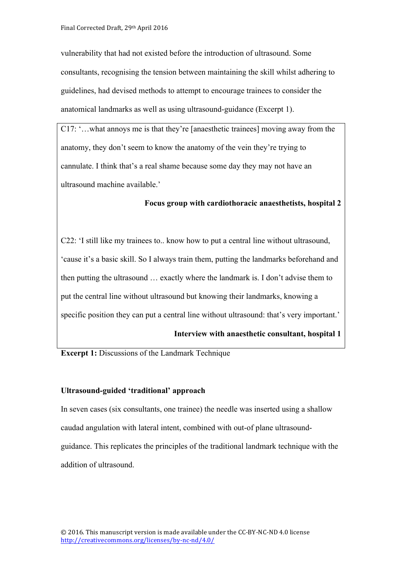vulnerability that had not existed before the introduction of ultrasound. Some consultants, recognising the tension between maintaining the skill whilst adhering to guidelines, had devised methods to attempt to encourage trainees to consider the anatomical landmarks as well as using ultrasound-guidance (Excerpt 1).

C17: '…what annoys me is that they're [anaesthetic trainees] moving away from the anatomy, they don't seem to know the anatomy of the vein they're trying to cannulate. I think that's a real shame because some day they may not have an ultrasound machine available.'

#### **Focus group with cardiothoracic anaesthetists, hospital 2**

C22: 'I still like my trainees to.. know how to put a central line without ultrasound, 'cause it's a basic skill. So I always train them, putting the landmarks beforehand and then putting the ultrasound … exactly where the landmark is. I don't advise them to put the central line without ultrasound but knowing their landmarks, knowing a specific position they can put a central line without ultrasound: that's very important.'

#### **Interview with anaesthetic consultant, hospital 1**

#### **Excerpt 1:** Discussions of the Landmark Technique

#### **Ultrasound-guided 'traditional' approach**

In seven cases (six consultants, one trainee) the needle was inserted using a shallow caudad angulation with lateral intent, combined with out-of plane ultrasoundguidance. This replicates the principles of the traditional landmark technique with the addition of ultrasound.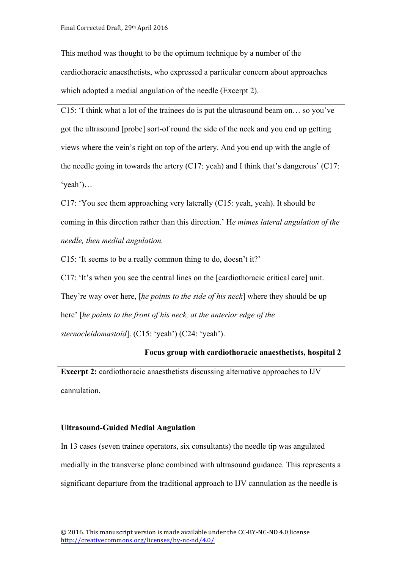This method was thought to be the optimum technique by a number of the cardiothoracic anaesthetists, who expressed a particular concern about approaches which adopted a medial angulation of the needle (Excerpt 2).

C15: 'I think what a lot of the trainees do is put the ultrasound beam on… so you've got the ultrasound [probe] sort-of round the side of the neck and you end up getting views where the vein's right on top of the artery. And you end up with the angle of the needle going in towards the artery  $(C17:$  yeah) and I think that's dangerous'  $(C17:$ 'yeah')…

C17: 'You see them approaching very laterally (C15: yeah, yeah). It should be coming in this direction rather than this direction.' H*e mimes lateral angulation of the needle, then medial angulation.*

C15: 'It seems to be a really common thing to do, doesn't it?'

C17: 'It's when you see the central lines on the [cardiothoracic critical care] unit. They're way over here, [*he points to the side of his neck*] where they should be up here' [*he points to the front of his neck, at the anterior edge of the* 

*sternocleidomastoid*]. (C15: 'yeah') (C24: 'yeah').

#### **Focus group with cardiothoracic anaesthetists, hospital 2**

**Excerpt 2:** cardiothoracic anaesthetists discussing alternative approaches to IJV cannulation.

#### **Ultrasound-Guided Medial Angulation**

In 13 cases (seven trainee operators, six consultants) the needle tip was angulated medially in the transverse plane combined with ultrasound guidance. This represents a significant departure from the traditional approach to IJV cannulation as the needle is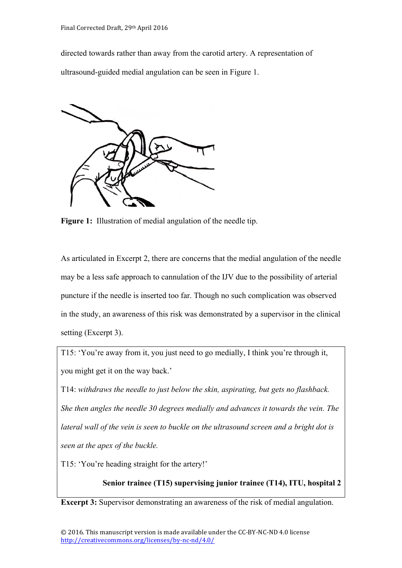directed towards rather than away from the carotid artery. A representation of ultrasound-guided medial angulation can be seen in Figure 1.



**Figure 1:** Illustration of medial angulation of the needle tip.

As articulated in Excerpt 2, there are concerns that the medial angulation of the needle may be a less safe approach to cannulation of the IJV due to the possibility of arterial puncture if the needle is inserted too far. Though no such complication was observed in the study, an awareness of this risk was demonstrated by a supervisor in the clinical setting (Excerpt 3).

T15: 'You're away from it, you just need to go medially, I think you're through it, you might get it on the way back.'

T14: *withdraws the needle to just below the skin, aspirating, but gets no flashback. She then angles the needle 30 degrees medially and advances it towards the vein. The lateral wall of the vein is seen to buckle on the ultrasound screen and a bright dot is seen at the apex of the buckle.* 

T15: 'You're heading straight for the artery!'

# **Senior trainee (T15) supervising junior trainee (T14), ITU, hospital 2**

**Excerpt 3:** Supervisor demonstrating an awareness of the risk of medial angulation.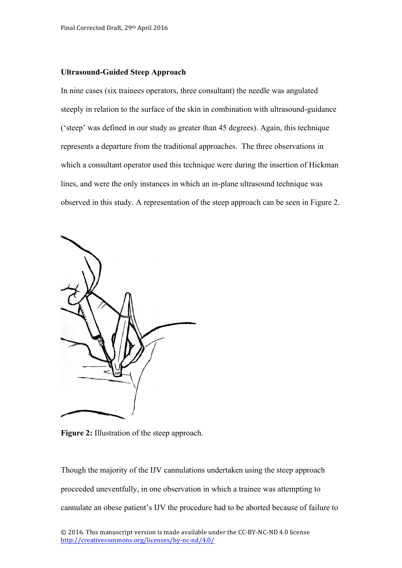#### **Ultrasound-Guided Steep Approach**

In nine cases (six trainees operators, three consultant) the needle was angulated steeply in relation to the surface of the skin in combination with ultrasound-guidance ('steep' was defined in our study as greater than 45 degrees). Again, this technique represents a departure from the traditional approaches. The three observations in which a consultant operator used this technique were during the insertion of Hickman lines, and were the only instances in which an in-plane ultrasound technique was observed in this study. A representation of the steep approach can be seen in Figure 2.



**Figure 2:** Illustration of the steep approach.

Though the majority of the IJV cannulations undertaken using the steep approach proceeded uneventfully, in one observation in which a trainee was attempting to cannulate an obese patient's IJV the procedure had to be aborted because of failure to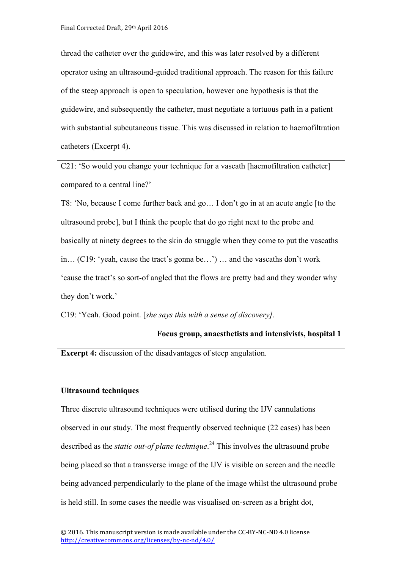thread the catheter over the guidewire, and this was later resolved by a different operator using an ultrasound-guided traditional approach. The reason for this failure of the steep approach is open to speculation, however one hypothesis is that the guidewire, and subsequently the catheter, must negotiate a tortuous path in a patient with substantial subcutaneous tissue. This was discussed in relation to haemofiltration catheters (Excerpt 4).

C21: 'So would you change your technique for a vascath [haemofiltration catheter] compared to a central line?'

T8: 'No, because I come further back and go… I don't go in at an acute angle [to the ultrasound probe], but I think the people that do go right next to the probe and basically at ninety degrees to the skin do struggle when they come to put the vascaths in… (C19: 'yeah, cause the tract's gonna be…') … and the vascaths don't work 'cause the tract's so sort-of angled that the flows are pretty bad and they wonder why they don't work.'

C19: 'Yeah. Good point. [*she says this with a sense of discovery].*

## **Focus group, anaesthetists and intensivists, hospital 1**

**Excerpt 4:** discussion of the disadvantages of steep angulation.

#### **Ultrasound techniques**

Three discrete ultrasound techniques were utilised during the IJV cannulations observed in our study. The most frequently observed technique (22 cases) has been described as the *static out-of plane technique*. <sup>24</sup> This involves the ultrasound probe being placed so that a transverse image of the IJV is visible on screen and the needle being advanced perpendicularly to the plane of the image whilst the ultrasound probe is held still. In some cases the needle was visualised on-screen as a bright dot,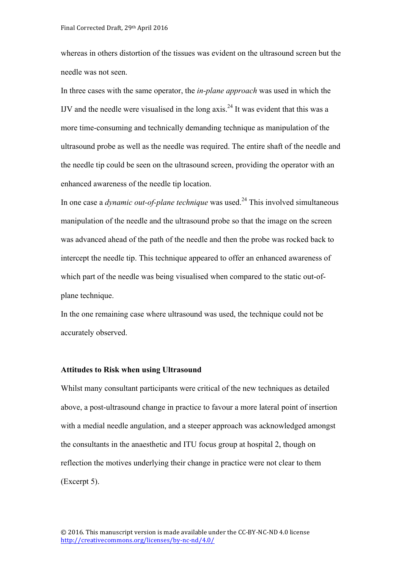whereas in others distortion of the tissues was evident on the ultrasound screen but the needle was not seen.

In three cases with the same operator, the *in-plane approach* was used in which the IJV and the needle were visualised in the long  $axis.^{24}$  It was evident that this was a more time-consuming and technically demanding technique as manipulation of the ultrasound probe as well as the needle was required. The entire shaft of the needle and the needle tip could be seen on the ultrasound screen, providing the operator with an enhanced awareness of the needle tip location.

In one case a *dynamic out-of-plane technique* was used. <sup>24</sup> This involved simultaneous manipulation of the needle and the ultrasound probe so that the image on the screen was advanced ahead of the path of the needle and then the probe was rocked back to intercept the needle tip. This technique appeared to offer an enhanced awareness of which part of the needle was being visualised when compared to the static out-ofplane technique.

In the one remaining case where ultrasound was used, the technique could not be accurately observed.

#### **Attitudes to Risk when using Ultrasound**

Whilst many consultant participants were critical of the new techniques as detailed above, a post-ultrasound change in practice to favour a more lateral point of insertion with a medial needle angulation, and a steeper approach was acknowledged amongst the consultants in the anaesthetic and ITU focus group at hospital 2, though on reflection the motives underlying their change in practice were not clear to them (Excerpt 5).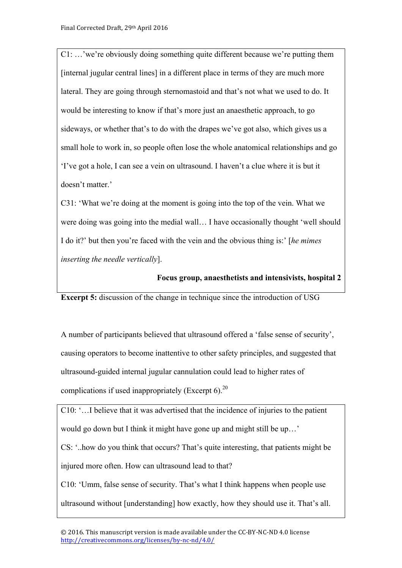C1: …'we're obviously doing something quite different because we're putting them [internal jugular central lines] in a different place in terms of they are much more lateral. They are going through sternomastoid and that's not what we used to do. It would be interesting to know if that's more just an anaesthetic approach, to go sideways, or whether that's to do with the drapes we've got also, which gives us a small hole to work in, so people often lose the whole anatomical relationships and go 'I've got a hole, I can see a vein on ultrasound. I haven't a clue where it is but it doesn't matter.'

C31: 'What we're doing at the moment is going into the top of the vein. What we were doing was going into the medial wall… I have occasionally thought 'well should I do it?' but then you're faced with the vein and the obvious thing is:' [*he mimes inserting the needle vertically*].

# **Focus group, anaesthetists and intensivists, hospital 2**

**Excerpt 5:** discussion of the change in technique since the introduction of USG

A number of participants believed that ultrasound offered a 'false sense of security', causing operators to become inattentive to other safety principles, and suggested that ultrasound-guided internal jugular cannulation could lead to higher rates of complications if used inappropriately (Excerpt 6).<sup>20</sup>

C10: '…I believe that it was advertised that the incidence of injuries to the patient would go down but I think it might have gone up and might still be up…'

CS: '..how do you think that occurs? That's quite interesting, that patients might be injured more often. How can ultrasound lead to that?

C10: 'Umm, false sense of security. That's what I think happens when people use ultrasound without [understanding] how exactly, how they should use it. That's all.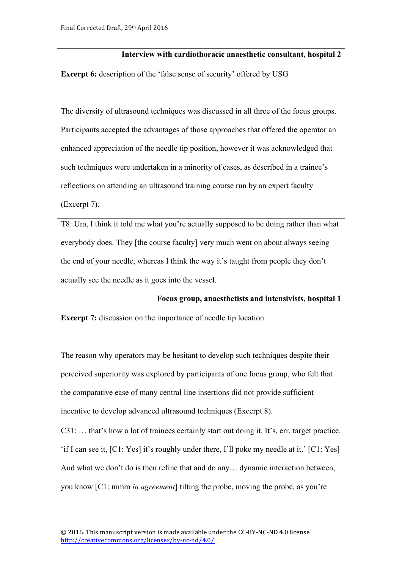# **Interview with cardiothoracic anaesthetic consultant, hospital 2**

**Excerpt 6:** description of the 'false sense of security' offered by USG

The diversity of ultrasound techniques was discussed in all three of the focus groups. Participants accepted the advantages of those approaches that offered the operator an enhanced appreciation of the needle tip position, however it was acknowledged that such techniques were undertaken in a minority of cases, as described in a trainee's reflections on attending an ultrasound training course run by an expert faculty (Excerpt 7).

T8: Um, I think it told me what you're actually supposed to be doing rather than what everybody does. They [the course faculty] very much went on about always seeing the end of your needle, whereas I think the way it's taught from people they don't actually see the needle as it goes into the vessel.

## **Focus group, anaesthetists and intensivists, hospital 1**

**Excerpt 7:** discussion on the importance of needle tip location

The reason why operators may be hesitant to develop such techniques despite their perceived superiority was explored by participants of one focus group, who felt that the comparative ease of many central line insertions did not provide sufficient incentive to develop advanced ultrasound techniques (Excerpt 8).

C31: ... that's how a lot of trainees certainly start out doing it. It's, err, target practice. 'if I can see it, [C1: Yes] it's roughly under there, I'll poke my needle at it.' [C1: Yes] And what we don't do is then refine that and do any… dynamic interaction between, you know [C1: mmm *in agreement*] tilting the probe, moving the probe, as you're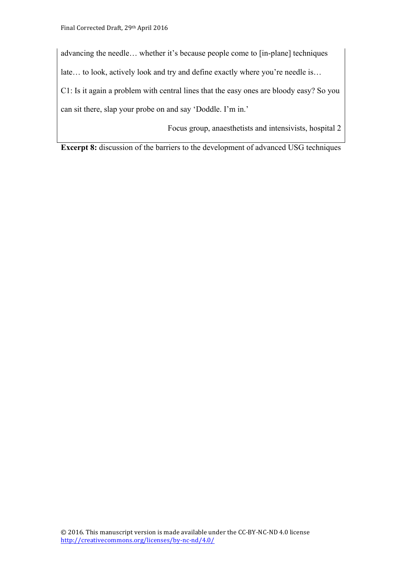advancing the needle… whether it's because people come to [in-plane] techniques late… to look, actively look and try and define exactly where you're needle is… C1: Is it again a problem with central lines that the easy ones are bloody easy? So you can sit there, slap your probe on and say 'Doddle. I'm in.'

Focus group, anaesthetists and intensivists, hospital 2

**Excerpt 8:** discussion of the barriers to the development of advanced USG techniques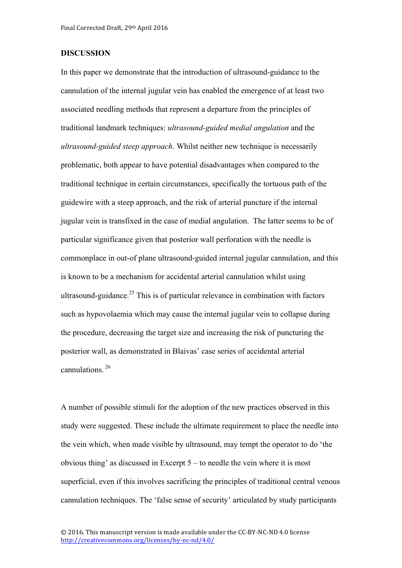#### **DISCUSSION**

In this paper we demonstrate that the introduction of ultrasound-guidance to the cannulation of the internal jugular vein has enabled the emergence of at least two associated needling methods that represent a departure from the principles of traditional landmark techniques: *ultrasound-guided medial angulation* and the *ultrasound-guided steep approach*. Whilst neither new technique is necessarily problematic, both appear to have potential disadvantages when compared to the traditional technique in certain circumstances, specifically the tortuous path of the guidewire with a steep approach, and the risk of arterial puncture if the internal jugular vein is transfixed in the case of medial angulation. The latter seems to be of particular significance given that posterior wall perforation with the needle is commonplace in out-of plane ultrasound-guided internal jugular cannulation, and this is known to be a mechanism for accidental arterial cannulation whilst using ultrasound-guidance.<sup>25</sup> This is of particular relevance in combination with factors such as hypovolaemia which may cause the internal jugular vein to collapse during the procedure, decreasing the target size and increasing the risk of puncturing the posterior wall, as demonstrated in Blaivas' case series of accidental arterial cannulations. 26

A number of possible stimuli for the adoption of the new practices observed in this study were suggested. These include the ultimate requirement to place the needle into the vein which, when made visible by ultrasound, may tempt the operator to do 'the obvious thing' as discussed in Excerpt 5 – to needle the vein where it is most superficial, even if this involves sacrificing the principles of traditional central venous cannulation techniques. The 'false sense of security' articulated by study participants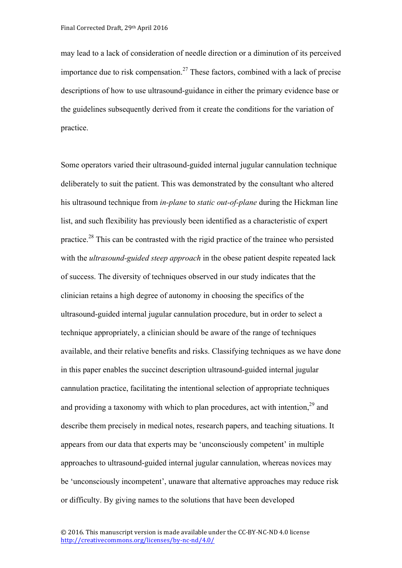may lead to a lack of consideration of needle direction or a diminution of its perceived importance due to risk compensation.<sup>27</sup> These factors, combined with a lack of precise descriptions of how to use ultrasound-guidance in either the primary evidence base or the guidelines subsequently derived from it create the conditions for the variation of practice.

Some operators varied their ultrasound-guided internal jugular cannulation technique deliberately to suit the patient. This was demonstrated by the consultant who altered his ultrasound technique from *in-plane* to *static out-of-plane* during the Hickman line list, and such flexibility has previously been identified as a characteristic of expert practice.<sup>28</sup> This can be contrasted with the rigid practice of the trainee who persisted with the *ultrasound-guided steep approach* in the obese patient despite repeated lack of success. The diversity of techniques observed in our study indicates that the clinician retains a high degree of autonomy in choosing the specifics of the ultrasound-guided internal jugular cannulation procedure, but in order to select a technique appropriately, a clinician should be aware of the range of techniques available, and their relative benefits and risks. Classifying techniques as we have done in this paper enables the succinct description ultrasound-guided internal jugular cannulation practice, facilitating the intentional selection of appropriate techniques and providing a taxonomy with which to plan procedures, act with intention,  $2<sup>9</sup>$  and describe them precisely in medical notes, research papers, and teaching situations. It appears from our data that experts may be 'unconsciously competent' in multiple approaches to ultrasound-guided internal jugular cannulation, whereas novices may be 'unconsciously incompetent', unaware that alternative approaches may reduce risk or difficulty. By giving names to the solutions that have been developed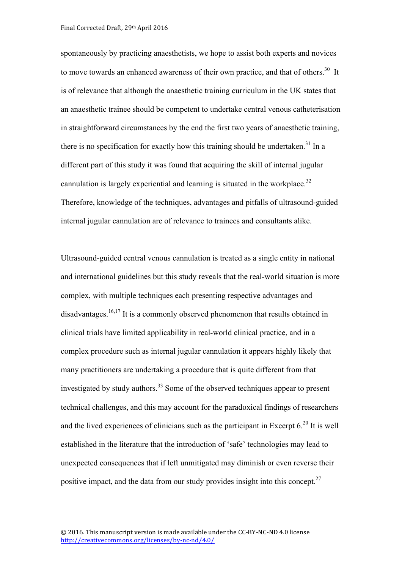spontaneously by practicing anaesthetists, we hope to assist both experts and novices to move towards an enhanced awareness of their own practice, and that of others.<sup>30</sup> It is of relevance that although the anaesthetic training curriculum in the UK states that an anaesthetic trainee should be competent to undertake central venous catheterisation in straightforward circumstances by the end the first two years of anaesthetic training, there is no specification for exactly how this training should be undertaken.<sup>31</sup> In a different part of this study it was found that acquiring the skill of internal jugular cannulation is largely experiential and learning is situated in the workplace.<sup>32</sup> Therefore, knowledge of the techniques, advantages and pitfalls of ultrasound-guided internal jugular cannulation are of relevance to trainees and consultants alike.

Ultrasound-guided central venous cannulation is treated as a single entity in national and international guidelines but this study reveals that the real-world situation is more complex, with multiple techniques each presenting respective advantages and disadvantages. 16,17 It is a commonly observed phenomenon that results obtained in clinical trials have limited applicability in real-world clinical practice, and in a complex procedure such as internal jugular cannulation it appears highly likely that many practitioners are undertaking a procedure that is quite different from that investigated by study authors.<sup>33</sup> Some of the observed techniques appear to present technical challenges, and this may account for the paradoxical findings of researchers and the lived experiences of clinicians such as the participant in Excerpt  $6.^{20}$  It is well established in the literature that the introduction of 'safe' technologies may lead to unexpected consequences that if left unmitigated may diminish or even reverse their positive impact, and the data from our study provides insight into this concept.<sup>27</sup>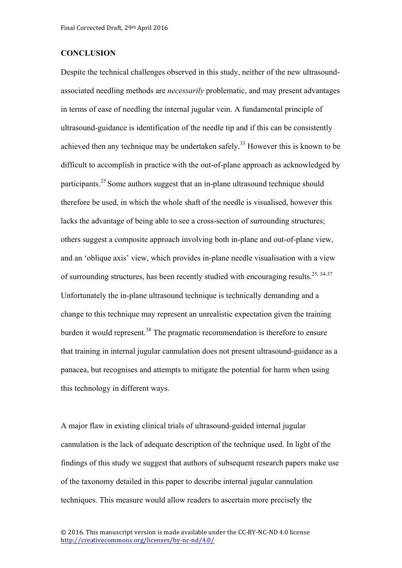#### **CONCLUSION**

Despite the technical challenges observed in this study, neither of the new ultrasoundassociated needling methods are *necessarily* problematic, and may present advantages in terms of ease of needling the internal jugular vein. A fundamental principle of ultrasound-guidance is identification of the needle tip and if this can be consistently achieved then any technique may be undertaken safely.<sup>33</sup> However this is known to be difficult to accomplish in practice with the out-of-plane approach as acknowledged by participants.<sup>25</sup> Some authors suggest that an in-plane ultrasound technique should therefore be used, in which the whole shaft of the needle is visualised, however this lacks the advantage of being able to see a cross-section of surrounding structures; others suggest a composite approach involving both in-plane and out-of-plane view, and an 'oblique axis' view, which provides in-plane needle visualisation with a view of surrounding structures, has been recently studied with encouraging results.<sup>25, 34-37</sup> Unfortunately the in-plane ultrasound technique is technically demanding and a change to this technique may represent an unrealistic expectation given the training burden it would represent.<sup>38</sup> The pragmatic recommendation is therefore to ensure that training in internal jugular cannulation does not present ultrasound-guidance as a panacea, but recognises and attempts to mitigate the potential for harm when using this technology in different ways.

A major flaw in existing clinical trials of ultrasound-guided internal jugular cannulation is the lack of adequate description of the technique used. In light of the findings of this study we suggest that authors of subsequent research papers make use of the taxonomy detailed in this paper to describe internal jugular cannulation techniques. This measure would allow readers to ascertain more precisely the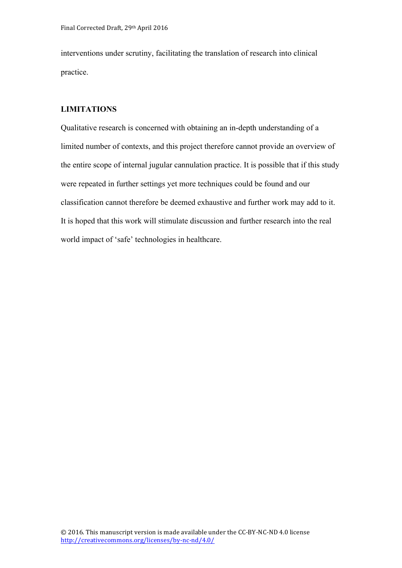interventions under scrutiny, facilitating the translation of research into clinical practice.

## **LIMITATIONS**

Qualitative research is concerned with obtaining an in-depth understanding of a limited number of contexts, and this project therefore cannot provide an overview of the entire scope of internal jugular cannulation practice. It is possible that if this study were repeated in further settings yet more techniques could be found and our classification cannot therefore be deemed exhaustive and further work may add to it. It is hoped that this work will stimulate discussion and further research into the real world impact of 'safe' technologies in healthcare.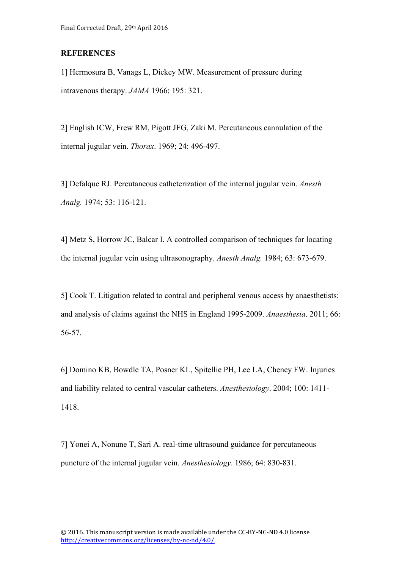#### **REFERENCES**

1] Hermosura B, Vanags L, Dickey MW. Measurement of pressure during intravenous therapy. *JAMA* 1966; 195: 321.

2] English ICW, Frew RM, Pigott JFG, Zaki M. Percutaneous cannulation of the internal jugular vein. *Thorax*. 1969; 24: 496-497.

3] Defalque RJ. Percutaneous catheterization of the internal jugular vein. *Anesth Analg.* 1974; 53: 116-121.

4] Metz S, Horrow JC, Balcar I. A controlled comparison of techniques for locating the internal jugular vein using ultrasonography. *Anesth Analg.* 1984; 63: 673-679.

5] Cook T. Litigation related to contral and peripheral venous access by anaesthetists: and analysis of claims against the NHS in England 1995-2009. *Anaesthesia*. 2011; 66: 56-57.

6] Domino KB, Bowdle TA, Posner KL, Spitellie PH, Lee LA, Cheney FW. Injuries and liability related to central vascular catheters. *Anesthesiology*. 2004; 100: 1411- 1418.

7] Yonei A, Nonune T, Sari A. real-time ultrasound guidance for percutaneous puncture of the internal jugular vein. *Anesthesiology*. 1986; 64: 830-831.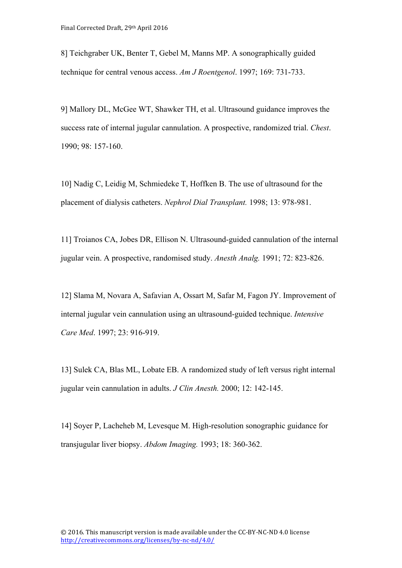8] Teichgraber UK, Benter T, Gebel M, Manns MP. A sonographically guided technique for central venous access. *Am J Roentgenol*. 1997; 169: 731-733.

9] Mallory DL, McGee WT, Shawker TH, et al. Ultrasound guidance improves the success rate of internal jugular cannulation. A prospective, randomized trial. *Chest*. 1990; 98: 157-160.

10] Nadig C, Leidig M, Schmiedeke T, Hoffken B. The use of ultrasound for the placement of dialysis catheters. *Nephrol Dial Transplant.* 1998; 13: 978-981.

11] Troianos CA, Jobes DR, Ellison N. Ultrasound-guided cannulation of the internal jugular vein. A prospective, randomised study. *Anesth Analg.* 1991; 72: 823-826.

12] Slama M, Novara A, Safavian A, Ossart M, Safar M, Fagon JY. Improvement of internal jugular vein cannulation using an ultrasound-guided technique. *Intensive Care Med*. 1997; 23: 916-919.

13] Sulek CA, Blas ML, Lobate EB. A randomized study of left versus right internal jugular vein cannulation in adults. *J Clin Anesth.* 2000; 12: 142-145.

14] Soyer P, Lacheheb M, Levesque M. High-resolution sonographic guidance for transjugular liver biopsy. *Abdom Imaging.* 1993; 18: 360-362.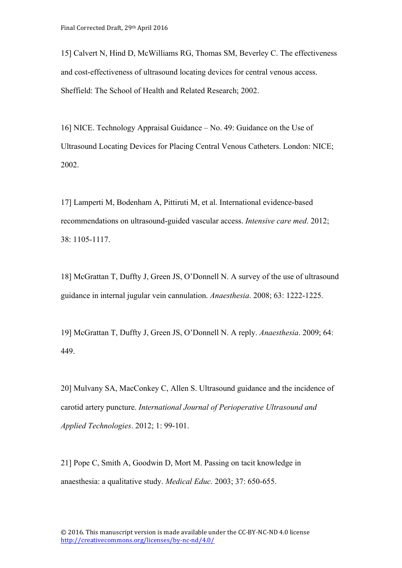15] Calvert N, Hind D, McWilliams RG, Thomas SM, Beverley C. The effectiveness and cost-effectiveness of ultrasound locating devices for central venous access. Sheffield: The School of Health and Related Research; 2002.

16] NICE. Technology Appraisal Guidance – No. 49: Guidance on the Use of Ultrasound Locating Devices for Placing Central Venous Catheters. London: NICE; 2002.

17] Lamperti M, Bodenham A, Pittiruti M, et al. International evidence-based recommendations on ultrasound-guided vascular access. *Intensive care med*. 2012; 38: 1105-1117.

18] McGrattan T, Duffty J, Green JS, O'Donnell N. A survey of the use of ultrasound guidance in internal jugular vein cannulation. *Anaesthesia*. 2008; 63: 1222-1225.

19] McGrattan T, Duffty J, Green JS, O'Donnell N. A reply. *Anaesthesia*. 2009; 64: 449.

20] Mulvany SA, MacConkey C, Allen S. Ultrasound guidance and the incidence of carotid artery puncture. *International Journal of Perioperative Ultrasound and Applied Technologies*. 2012; 1: 99-101.

21] Pope C, Smith A, Goodwin D, Mort M. Passing on tacit knowledge in anaesthesia: a qualitative study. *Medical Educ.* 2003; 37: 650-655.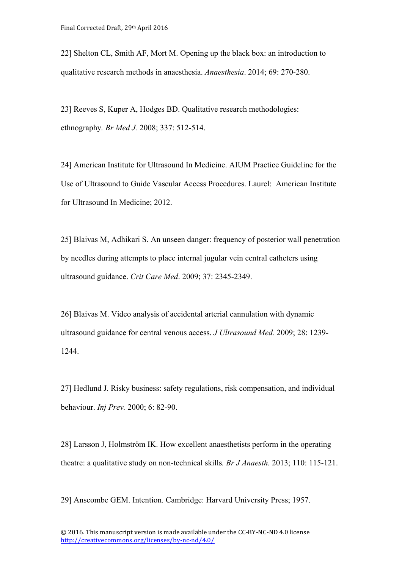22] Shelton CL, Smith AF, Mort M. Opening up the black box: an introduction to qualitative research methods in anaesthesia. *Anaesthesia*. 2014; 69: 270-280.

23] Reeves S, Kuper A, Hodges BD. Qualitative research methodologies: ethnography*. Br Med J.* 2008; 337: 512-514.

24] American Institute for Ultrasound In Medicine. AIUM Practice Guideline for the Use of Ultrasound to Guide Vascular Access Procedures. Laurel: American Institute for Ultrasound In Medicine; 2012.

25] Blaivas M, Adhikari S. An unseen danger: frequency of posterior wall penetration by needles during attempts to place internal jugular vein central catheters using ultrasound guidance. *Crit Care Med*. 2009; 37: 2345-2349.

26] Blaivas M. Video analysis of accidental arterial cannulation with dynamic ultrasound guidance for central venous access. *J Ultrasound Med.* 2009; 28: 1239- 1244.

27] Hedlund J. Risky business: safety regulations, risk compensation, and individual behaviour. *Inj Prev.* 2000; 6: 82-90.

28] Larsson J, Holmström IK. How excellent anaesthetists perform in the operating theatre: a qualitative study on non-technical skills*. Br J Anaesth.* 2013; 110: 115-121.

29] Anscombe GEM. Intention. Cambridge: Harvard University Press; 1957.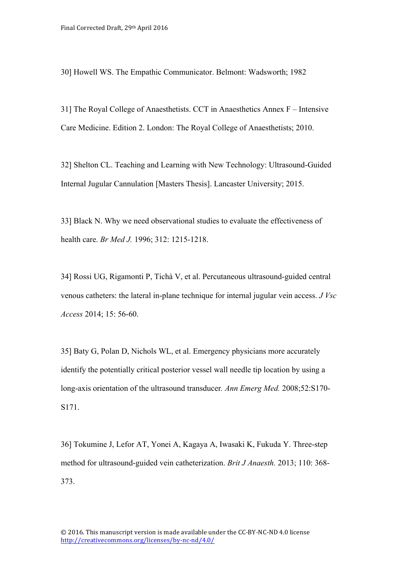30] Howell WS. The Empathic Communicator. Belmont: Wadsworth; 1982

31] The Royal College of Anaesthetists. CCT in Anaesthetics Annex F – Intensive Care Medicine. Edition 2. London: The Royal College of Anaesthetists; 2010.

32] Shelton CL. Teaching and Learning with New Technology: Ultrasound-Guided Internal Jugular Cannulation [Masters Thesis]. Lancaster University; 2015.

33] Black N. Why we need observational studies to evaluate the effectiveness of health care. *Br Med J.* 1996; 312: 1215-1218.

34] Rossi UG, Rigamonti P, Tichà V, et al. Percutaneous ultrasound-guided central venous catheters: the lateral in-plane technique for internal jugular vein access. *J Vsc Access* 2014; 15: 56-60.

35] Baty G, Polan D, Nichols WL, et al. Emergency physicians more accurately identify the potentially critical posterior vessel wall needle tip location by using a long-axis orientation of the ultrasound transducer*. Ann Emerg Med.* 2008;52:S170- S171.

36] Tokumine J, Lefor AT, Yonei A, Kagaya A, Iwasaki K, Fukuda Y. Three-step method for ultrasound-guided vein catheterization. *Brit J Anaesth.* 2013; 110: 368- 373.